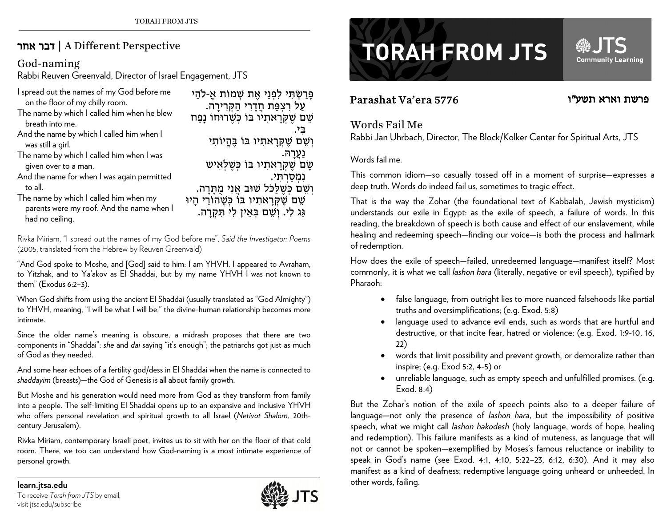## אחר דבר | A Different Perspective

### God-naming

Rabbi Reuven Greenvald, Director of Israel Engagement, JTS

| I spread out the names of my God before me                                                             | פָּרַשְׂתִּי לִפְנַי אֶת שְׁמוֹת אֱ-לֹהַי                                           |
|--------------------------------------------------------------------------------------------------------|-------------------------------------------------------------------------------------|
| on the floor of my chilly room.                                                                        | עַל רִצְפַּת חֲדָרִי הַקְּרִירָה.                                                   |
| The name by which I called him when he blew<br>breath into me.                                         | שֵׁם שֵׁקְרָאתִיו בּוֹ כְּשֶׁרוּחוֹ נָפַח                                           |
| And the name by which I called him when I                                                              | 고고                                                                                  |
| was still a girl.                                                                                      | וְשֵׁם שֵׁקְרָאתִיו בּוֹ בֵּהֵיוֹתִי                                                |
| The name by which I called him when I was                                                              | נעַרהּ.                                                                             |
| given over to a man.                                                                                   | שַׂם שֶׁקְרַאתִיו בּוֹ כִּשֶׁלְאִיש                                                 |
| And the name for when I was again permitted                                                            | נמסרתי.                                                                             |
| to all.                                                                                                | וְשֵׁם כְּשֶׁלַלֵּל שׁוּב אֲנִי מֻתָּרָה.                                           |
| The name by which I called him when my<br>parents were my roof. And the name when I<br>had no ceiling. | שֵׁם שֶׁקְרָאתִיו בּוֹ כְּשֶׁהוֹרַי הָיוּ<br>גַּג לִי. וְשֵׁם בְּאֵין לִי תִּקְרָה. |

Rivka Miriam, "I spread out the names of my God before me", *Said the Investigator: Poems*  (2005, translated from the Hebrew by Reuven Greenvald)

"And God spoke to Moshe, and [God] said to him: I am YHVH. I appeared to Avraham, to Yitzhak, and to Ya'akov as El Shaddai, but by my name YHVH I was not known to them" (Exodus 6:2–3).

When God shifts from using the ancient El Shaddai (usually translated as "God Almighty") to YHVH, meaning, "I will be what I will be," the divine-human relationship becomes more intimate.

Since the older name's meaning is obscure, a midrash proposes that there are two components in "Shaddai": *she* and *dai* saying "it's enough"; the patriarchs got just as much of God as they needed.

And some hear echoes of a fertility god/dess in El Shaddai when the name is connected to *shaddayim* (breasts)—the God of Genesis is all about family growth.

But Moshe and his generation would need more from God as they transform from family into a people. The self-limiting El Shaddai opens up to an expansive and inclusive YHVH who offers personal revelation and spiritual growth to all Israel (*Netivot Shalom*, 20thcentury Jerusalem).

Rivka Miriam, contemporary Israeli poet, invites us to sit with her on the floor of that cold room. There, we too can understand how God-naming is a most intimate experience of personal growth.



# **TORAH FROM JTS**

## Parashat Va'era 5776

## פרשת וארא תשע"ו

**Community Learning** 

### Words Fail Me

Rabbi Jan Uhrbach, Director, The Block/Kolker Center for Spiritual Arts, JTS

#### Words fail me.

This common idiom—so casually tossed off in a moment of surprise—expresses a deep truth. Words do indeed fail us, sometimes to tragic effect.

That is the way the Zohar (the foundational text of Kabbalah, Jewish mysticism) understands our exile in Egypt: as the exile of speech, a failure of words. In this reading, the breakdown of speech is both cause and effect of our enslavement, while healing and redeeming speech—finding our voice—is both the process and hallmark of redemption.

How does the exile of speech—failed, unredeemed language—manifest itself? Most commonly, it is what we call *lashon hara* (literally, negative or evil speech), typified by Pharaoh:

- $\bullet$  false language, from outright lies to more nuanced falsehoods like partial truths and oversimplifications; (e.g. Exod. 5:8)
- language used to advance evil ends, such as words that are hurtful and destructive, or that incite fear, hatred or violence; (e.g. Exod. 1:9-10, 16, 22)
- 0 words that limit possibility and prevent growth, or demoralize rather than inspire; (e.g. Exod 5:2, 4-5) or
- 0 unreliable language, such as empty speech and unfulfilled promises. (e.g. Exod. 8:4)

But the Zohar's notion of the exile of speech points also to a deeper failure of language—not only the presence of *lashon hara*, but the impossibility of positive speech, what we might call *lashon hakodesh* (holy language, words of hope, healing and redemption). This failure manifests as a kind of muteness, as language that will not or cannot be spoken—exemplified by Moses's famous reluctance or inability to speak in God's name (see Exod. 4:1, 4:10, 5:22–23, 6:12, 6:30). And it may also manifest as a kind of deafness: redemptive language going unheard or unheeded. In